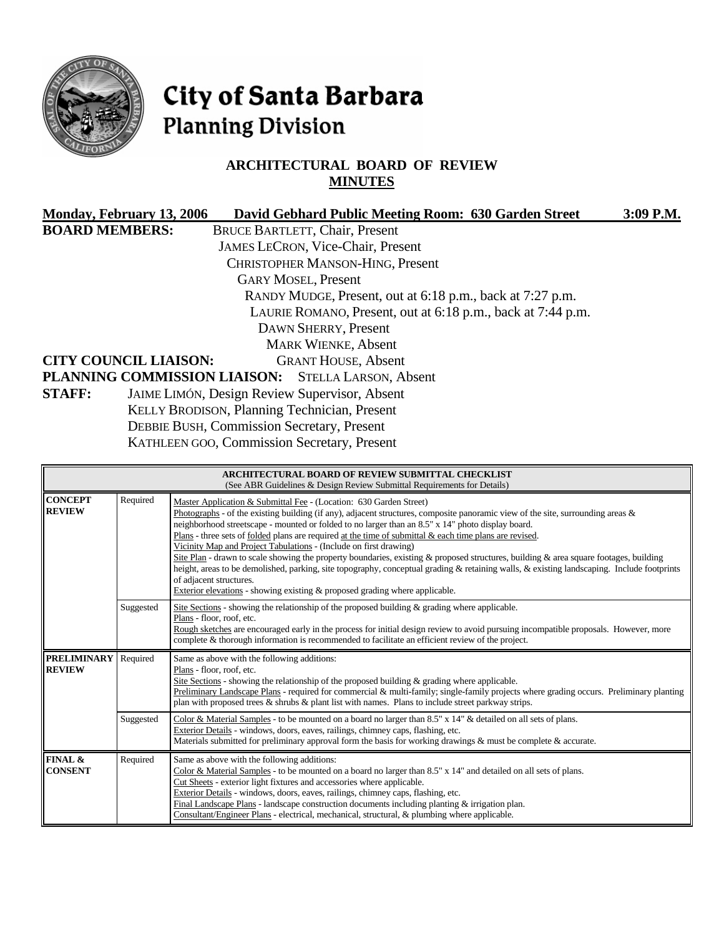

# City of Santa Barbara **Planning Division**

# **ARCHITECTURAL BOARD OF REVIEW MINUTES**

|                       | Monday, February 13, 2006<br>David Gebhard Public Meeting Room: 630 Garden Street | 3:09 P.M. |
|-----------------------|-----------------------------------------------------------------------------------|-----------|
| <b>BOARD MEMBERS:</b> | <b>BRUCE BARTLETT, Chair, Present</b>                                             |           |
|                       | JAMES LECRON, Vice-Chair, Present                                                 |           |
|                       | CHRISTOPHER MANSON-HING, Present                                                  |           |
|                       | <b>GARY MOSEL, Present</b>                                                        |           |
|                       | RANDY MUDGE, Present, out at 6:18 p.m., back at 7:27 p.m.                         |           |
|                       | LAURIE ROMANO, Present, out at 6:18 p.m., back at 7:44 p.m.                       |           |
|                       | DAWN SHERRY, Present                                                              |           |
|                       | <b>MARK WIENKE, Absent</b>                                                        |           |
|                       | <b>CITY COUNCIL LIAISON:</b><br><b>GRANT HOUSE, Absent</b>                        |           |
|                       | PLANNING COMMISSION LIAISON: STELLA LARSON, Absent                                |           |
| <b>STAFF:</b>         | <b>JAIME LIMÓN, Design Review Supervisor, Absent</b>                              |           |
|                       | <b>KELLY BRODISON, Planning Technician, Present</b>                               |           |
|                       | <b>DEBBIE BUSH, Commission Secretary, Present</b>                                 |           |
|                       | <b>KATHLEEN GOO, Commission Secretary, Present</b>                                |           |

| <b>ARCHITECTURAL BOARD OF REVIEW SUBMITTAL CHECKLIST</b><br>(See ABR Guidelines & Design Review Submittal Requirements for Details) |           |                                                                                                                                                                                                                                                                                                                                                                                                                                                                                                                                                                                                                                                                                                                                                                                                                                                                                                   |  |  |  |  |  |
|-------------------------------------------------------------------------------------------------------------------------------------|-----------|---------------------------------------------------------------------------------------------------------------------------------------------------------------------------------------------------------------------------------------------------------------------------------------------------------------------------------------------------------------------------------------------------------------------------------------------------------------------------------------------------------------------------------------------------------------------------------------------------------------------------------------------------------------------------------------------------------------------------------------------------------------------------------------------------------------------------------------------------------------------------------------------------|--|--|--|--|--|
| <b>CONCEPT</b><br><b>REVIEW</b>                                                                                                     | Required  | Master Application & Submittal Fee - (Location: 630 Garden Street)<br>Photographs - of the existing building (if any), adjacent structures, composite panoramic view of the site, surrounding areas $\&$<br>neighborhood streetscape - mounted or folded to no larger than an 8.5" x 14" photo display board.<br>Plans - three sets of folded plans are required at the time of submittal & each time plans are revised.<br>Vicinity Map and Project Tabulations - (Include on first drawing)<br>Site Plan - drawn to scale showing the property boundaries, existing & proposed structures, building & area square footages, building<br>height, areas to be demolished, parking, site topography, conceptual grading & retaining walls, & existing landscaping. Include footprints<br>of adjacent structures.<br>Exterior elevations - showing existing $\&$ proposed grading where applicable. |  |  |  |  |  |
|                                                                                                                                     | Suggested | Site Sections - showing the relationship of the proposed building $\&$ grading where applicable.<br>Plans - floor, roof, etc.<br>Rough sketches are encouraged early in the process for initial design review to avoid pursuing incompatible proposals. However, more<br>complete & thorough information is recommended to facilitate an efficient review of the project.                                                                                                                                                                                                                                                                                                                                                                                                                                                                                                                         |  |  |  |  |  |
| <b>PRELIMINARY</b><br><b>REVIEW</b>                                                                                                 | Required  | Same as above with the following additions:<br>Plans - floor, roof, etc.<br>Site Sections - showing the relationship of the proposed building $\&$ grading where applicable.<br>Preliminary Landscape Plans - required for commercial & multi-family; single-family projects where grading occurs. Preliminary planting<br>plan with proposed trees $\&$ shrubs $\&$ plant list with names. Plans to include street parkway strips.                                                                                                                                                                                                                                                                                                                                                                                                                                                               |  |  |  |  |  |
|                                                                                                                                     | Suggested | Color & Material Samples - to be mounted on a board no larger than 8.5" x 14" & detailed on all sets of plans.<br>Exterior Details - windows, doors, eaves, railings, chimney caps, flashing, etc.<br>Materials submitted for preliminary approval form the basis for working drawings & must be complete & accurate.                                                                                                                                                                                                                                                                                                                                                                                                                                                                                                                                                                             |  |  |  |  |  |
| FINAL &<br><b>CONSENT</b>                                                                                                           | Required  | Same as above with the following additions:<br>Color & Material Samples - to be mounted on a board no larger than $8.5" \times 14"$ and detailed on all sets of plans.<br>Cut Sheets - exterior light fixtures and accessories where applicable.<br>Exterior Details - windows, doors, eaves, railings, chimney caps, flashing, etc.<br>Final Landscape Plans - landscape construction documents including planting $\&$ irrigation plan.<br>Consultant/Engineer Plans - electrical, mechanical, structural, & plumbing where applicable.                                                                                                                                                                                                                                                                                                                                                         |  |  |  |  |  |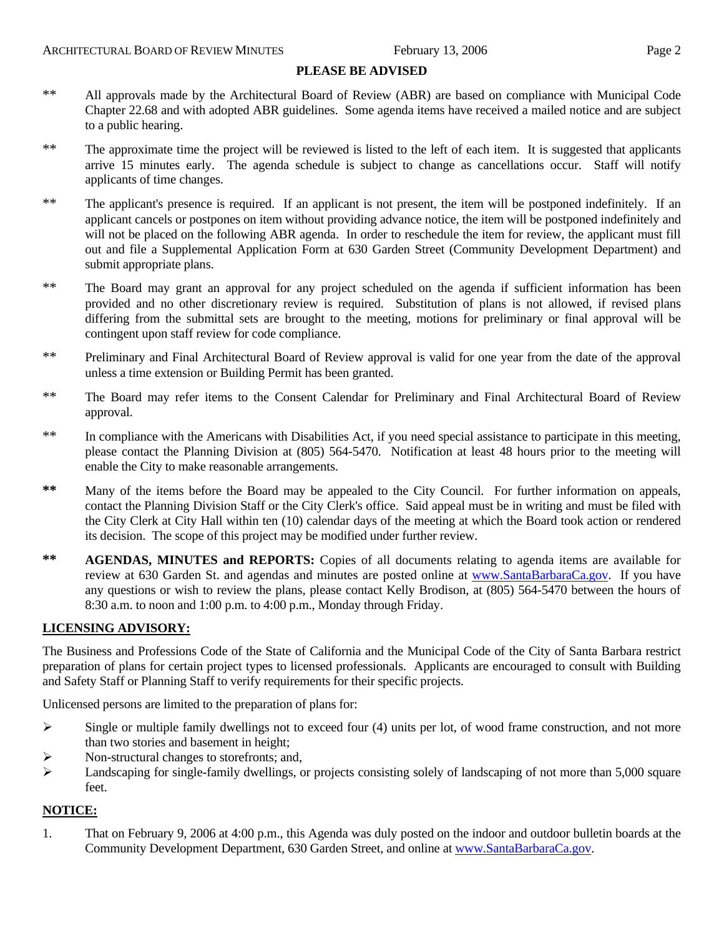#### **PLEASE BE ADVISED**

- \*\* All approvals made by the Architectural Board of Review (ABR) are based on compliance with Municipal Code Chapter 22.68 and with adopted ABR guidelines. Some agenda items have received a mailed notice and are subject to a public hearing.
- \*\* The approximate time the project will be reviewed is listed to the left of each item. It is suggested that applicants arrive 15 minutes early. The agenda schedule is subject to change as cancellations occur. Staff will notify applicants of time changes.
- \*\* The applicant's presence is required. If an applicant is not present, the item will be postponed indefinitely. If an applicant cancels or postpones on item without providing advance notice, the item will be postponed indefinitely and will not be placed on the following ABR agenda. In order to reschedule the item for review, the applicant must fill out and file a Supplemental Application Form at 630 Garden Street (Community Development Department) and submit appropriate plans.
- \*\* The Board may grant an approval for any project scheduled on the agenda if sufficient information has been provided and no other discretionary review is required. Substitution of plans is not allowed, if revised plans differing from the submittal sets are brought to the meeting, motions for preliminary or final approval will be contingent upon staff review for code compliance.
- \*\* Preliminary and Final Architectural Board of Review approval is valid for one year from the date of the approval unless a time extension or Building Permit has been granted.
- \*\* The Board may refer items to the Consent Calendar for Preliminary and Final Architectural Board of Review approval.
- \*\* In compliance with the Americans with Disabilities Act, if you need special assistance to participate in this meeting, please contact the Planning Division at (805) 564-5470. Notification at least 48 hours prior to the meeting will enable the City to make reasonable arrangements.
- **\*\*** Many of the items before the Board may be appealed to the City Council. For further information on appeals, contact the Planning Division Staff or the City Clerk's office. Said appeal must be in writing and must be filed with the City Clerk at City Hall within ten (10) calendar days of the meeting at which the Board took action or rendered its decision. The scope of this project may be modified under further review.
- \*\* **AGENDAS, MINUTES and REPORTS:** Copies of all documents relating to agenda items are available for review at 630 Garden St. and agendas and minutes are posted online at [www.SantaBarbaraCa.gov](http://www.santabarbaraca.gov/). If you have any questions or wish to review the plans, please contact Kelly Brodison, at (805) 564-5470 between the hours of 8:30 a.m. to noon and 1:00 p.m. to 4:00 p.m., Monday through Friday.

## **LICENSING ADVISORY:**

The Business and Professions Code of the State of California and the Municipal Code of the City of Santa Barbara restrict preparation of plans for certain project types to licensed professionals. Applicants are encouraged to consult with Building and Safety Staff or Planning Staff to verify requirements for their specific projects.

Unlicensed persons are limited to the preparation of plans for:

- $\triangleright$  Single or multiple family dwellings not to exceed four (4) units per lot, of wood frame construction, and not more than two stories and basement in height;
- ¾ Non-structural changes to storefronts; and,
- ¾ Landscaping for single-family dwellings, or projects consisting solely of landscaping of not more than 5,000 square feet.

## **NOTICE:**

1. That on February 9, 2006 at 4:00 p.m., this Agenda was duly posted on the indoor and outdoor bulletin boards at the Community Development Department, 630 Garden Street, and online at [www.SantaBarbaraCa.gov](http://www.santabarbaraca.gov/).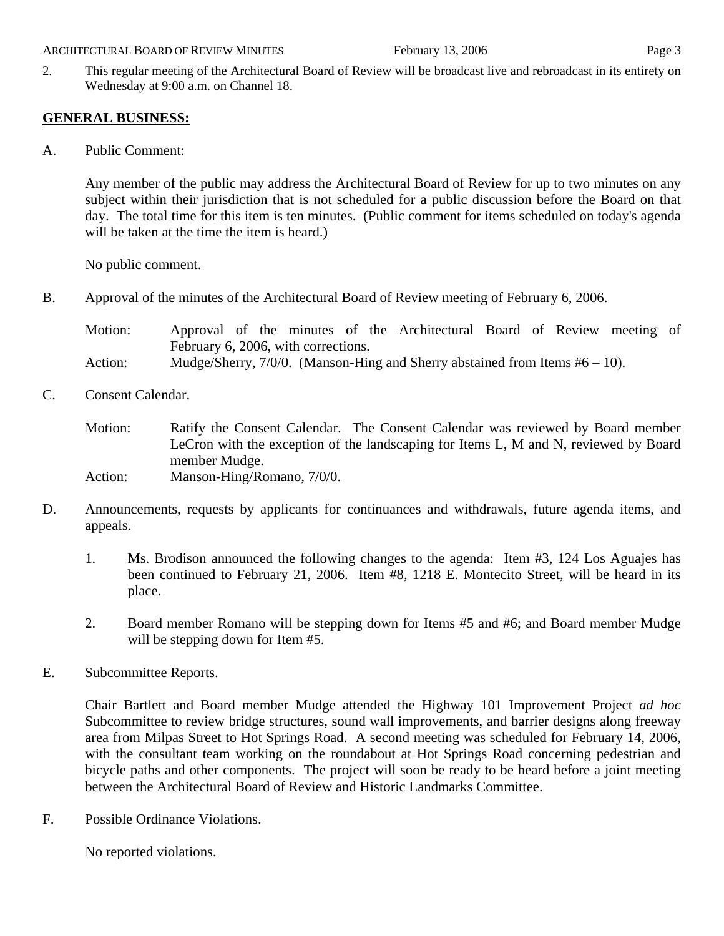#### ARCHITECTURAL BOARD OF REVIEW MINUTES February 13, 2006 Page 3

#### 2. This regular meeting of the Architectural Board of Review will be broadcast live and rebroadcast in its entirety on Wednesday at 9:00 a.m. on Channel 18.

## **GENERAL BUSINESS:**

A. Public Comment:

Any member of the public may address the Architectural Board of Review for up to two minutes on any subject within their jurisdiction that is not scheduled for a public discussion before the Board on that day. The total time for this item is ten minutes. (Public comment for items scheduled on today's agenda will be taken at the time the item is heard.)

No public comment.

B. Approval of the minutes of the Architectural Board of Review meeting of February 6, 2006.

| Motion: |                                     |  |  |  |  |  | Approval of the minutes of the Architectural Board of Review meeting of        |  |  |  |  |
|---------|-------------------------------------|--|--|--|--|--|--------------------------------------------------------------------------------|--|--|--|--|
|         | February 6, 2006, with corrections. |  |  |  |  |  |                                                                                |  |  |  |  |
| Action: |                                     |  |  |  |  |  | Mudge/Sherry, $7/0/0$ . (Manson-Hing and Sherry abstained from Items #6 – 10). |  |  |  |  |

C. Consent Calendar.

Motion: Ratify the Consent Calendar. The Consent Calendar was reviewed by Board member LeCron with the exception of the landscaping for Items L, M and N, reviewed by Board member Mudge. Action: Manson-Hing/Romano, 7/0/0.

- D. Announcements, requests by applicants for continuances and withdrawals, future agenda items, and appeals.
	- 1. Ms. Brodison announced the following changes to the agenda: Item #3, 124 Los Aguajes has been continued to February 21, 2006. Item #8, 1218 E. Montecito Street, will be heard in its place.
	- 2. Board member Romano will be stepping down for Items #5 and #6; and Board member Mudge will be stepping down for Item #5.
- E. Subcommittee Reports.

Chair Bartlett and Board member Mudge attended the Highway 101 Improvement Project *ad hoc* Subcommittee to review bridge structures, sound wall improvements, and barrier designs along freeway area from Milpas Street to Hot Springs Road. A second meeting was scheduled for February 14, 2006, with the consultant team working on the roundabout at Hot Springs Road concerning pedestrian and bicycle paths and other components. The project will soon be ready to be heard before a joint meeting between the Architectural Board of Review and Historic Landmarks Committee.

F. Possible Ordinance Violations.

No reported violations.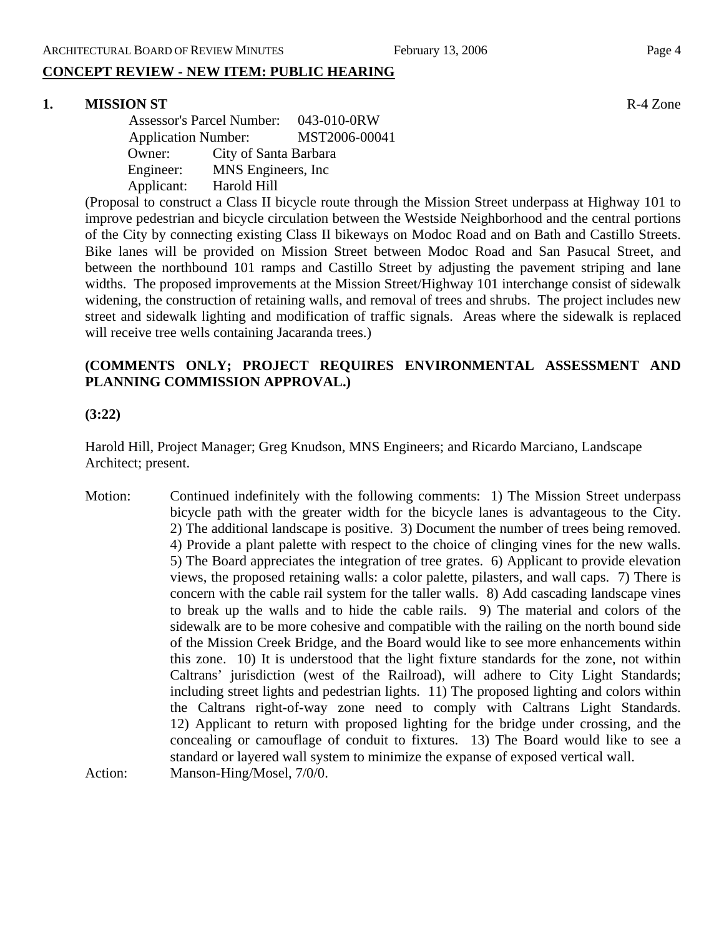## **CONCEPT REVIEW - NEW ITEM: PUBLIC HEARING**

## **1. MISSION ST** R-4 Zone

 Assessor's Parcel Number: 043-010-0RW Application Number: MST2006-00041 Owner: City of Santa Barbara Engineer: MNS Engineers, Inc Applicant: Harold Hill

(Proposal to construct a Class II bicycle route through the Mission Street underpass at Highway 101 to improve pedestrian and bicycle circulation between the Westside Neighborhood and the central portions of the City by connecting existing Class II bikeways on Modoc Road and on Bath and Castillo Streets. Bike lanes will be provided on Mission Street between Modoc Road and San Pasucal Street, and between the northbound 101 ramps and Castillo Street by adjusting the pavement striping and lane widths. The proposed improvements at the Mission Street/Highway 101 interchange consist of sidewalk widening, the construction of retaining walls, and removal of trees and shrubs. The project includes new street and sidewalk lighting and modification of traffic signals. Areas where the sidewalk is replaced will receive tree wells containing Jacaranda trees.)

## **(COMMENTS ONLY; PROJECT REQUIRES ENVIRONMENTAL ASSESSMENT AND PLANNING COMMISSION APPROVAL.)**

## **(3:22)**

Harold Hill, Project Manager; Greg Knudson, MNS Engineers; and Ricardo Marciano, Landscape Architect; present.

Motion: Continued indefinitely with the following comments: 1) The Mission Street underpass bicycle path with the greater width for the bicycle lanes is advantageous to the City. 2) The additional landscape is positive. 3) Document the number of trees being removed. 4) Provide a plant palette with respect to the choice of clinging vines for the new walls. 5) The Board appreciates the integration of tree grates. 6) Applicant to provide elevation views, the proposed retaining walls: a color palette, pilasters, and wall caps. 7) There is concern with the cable rail system for the taller walls. 8) Add cascading landscape vines to break up the walls and to hide the cable rails. 9) The material and colors of the sidewalk are to be more cohesive and compatible with the railing on the north bound side of the Mission Creek Bridge, and the Board would like to see more enhancements within this zone. 10) It is understood that the light fixture standards for the zone, not within Caltrans' jurisdiction (west of the Railroad), will adhere to City Light Standards; including street lights and pedestrian lights. 11) The proposed lighting and colors within the Caltrans right-of-way zone need to comply with Caltrans Light Standards. 12) Applicant to return with proposed lighting for the bridge under crossing, and the concealing or camouflage of conduit to fixtures. 13) The Board would like to see a standard or layered wall system to minimize the expanse of exposed vertical wall. Action: Manson-Hing/Mosel, 7/0/0.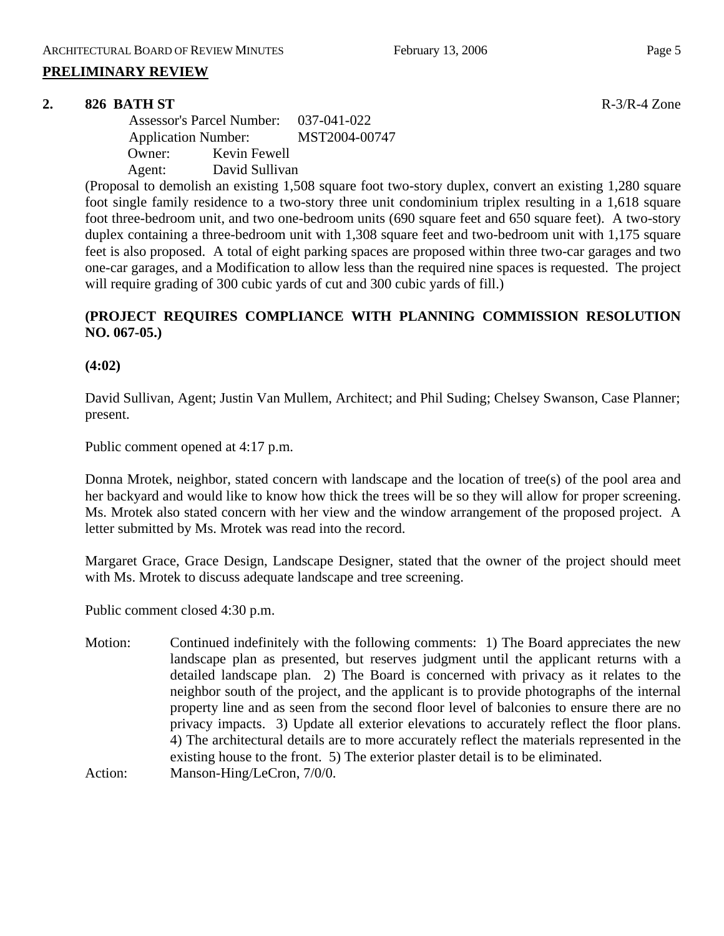## **PRELIMINARY REVIEW**

## **2. 826 BATH ST** R-3/R-4 Zone

 Assessor's Parcel Number: 037-041-022 Application Number: MST2004-00747 Owner: Kevin Fewell Agent: David Sullivan

(Proposal to demolish an existing 1,508 square foot two-story duplex, convert an existing 1,280 square foot single family residence to a two-story three unit condominium triplex resulting in a 1,618 square foot three-bedroom unit, and two one-bedroom units (690 square feet and 650 square feet). A two-story duplex containing a three-bedroom unit with 1,308 square feet and two-bedroom unit with 1,175 square feet is also proposed. A total of eight parking spaces are proposed within three two-car garages and two one-car garages, and a Modification to allow less than the required nine spaces is requested. The project will require grading of 300 cubic yards of cut and 300 cubic yards of fill.)

# **(PROJECT REQUIRES COMPLIANCE WITH PLANNING COMMISSION RESOLUTION NO. 067-05.)**

**(4:02)**

David Sullivan, Agent; Justin Van Mullem, Architect; and Phil Suding; Chelsey Swanson, Case Planner; present.

Public comment opened at 4:17 p.m.

Donna Mrotek, neighbor, stated concern with landscape and the location of tree(s) of the pool area and her backyard and would like to know how thick the trees will be so they will allow for proper screening. Ms. Mrotek also stated concern with her view and the window arrangement of the proposed project. A letter submitted by Ms. Mrotek was read into the record.

Margaret Grace, Grace Design, Landscape Designer, stated that the owner of the project should meet with Ms. Mrotek to discuss adequate landscape and tree screening.

Public comment closed 4:30 p.m.

Motion: Continued indefinitely with the following comments: 1) The Board appreciates the new landscape plan as presented, but reserves judgment until the applicant returns with a detailed landscape plan. 2) The Board is concerned with privacy as it relates to the neighbor south of the project, and the applicant is to provide photographs of the internal property line and as seen from the second floor level of balconies to ensure there are no privacy impacts. 3) Update all exterior elevations to accurately reflect the floor plans. 4) The architectural details are to more accurately reflect the materials represented in the existing house to the front. 5) The exterior plaster detail is to be eliminated. Action: Manson-Hing/LeCron, 7/0/0.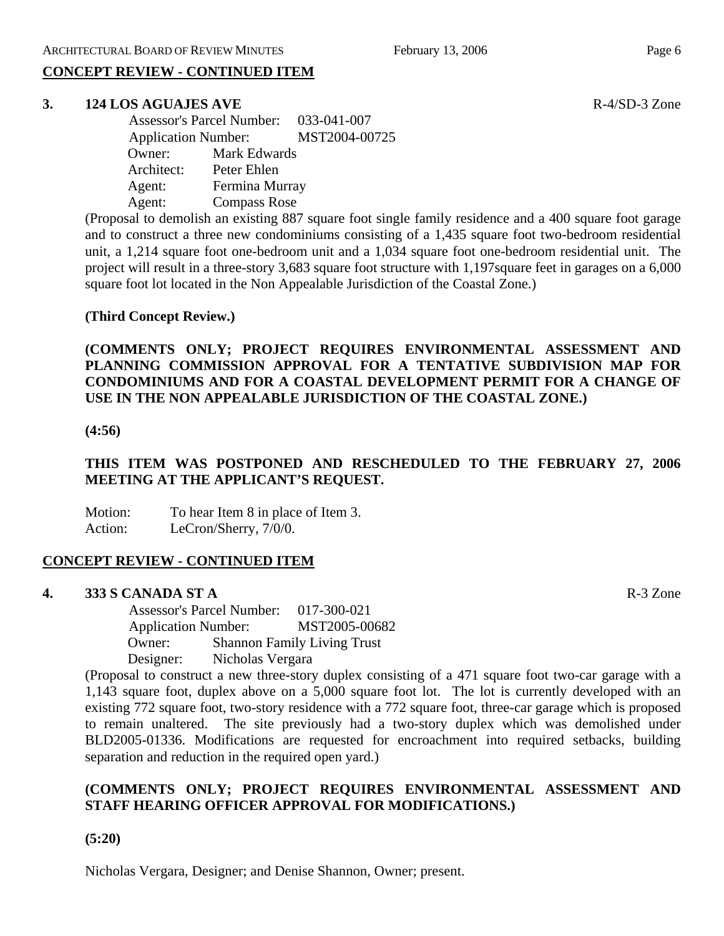# **CONCEPT REVIEW - CONTINUED ITEM**

#### **3. 124 LOS AGUAJES AVE R-4/SD-3 Zone**

 Assessor's Parcel Number: 033-041-007 Application Number: MST2004-00725 Owner: Mark Edwards Architect: Peter Ehlen Agent: Fermina Murray Agent: Compass Rose

(Proposal to demolish an existing 887 square foot single family residence and a 400 square foot garage and to construct a three new condominiums consisting of a 1,435 square foot two-bedroom residential unit, a 1,214 square foot one-bedroom unit and a 1,034 square foot one-bedroom residential unit. The project will result in a three-story 3,683 square foot structure with 1,197square feet in garages on a 6,000 square foot lot located in the Non Appealable Jurisdiction of the Coastal Zone.)

## **(Third Concept Review.)**

**(COMMENTS ONLY; PROJECT REQUIRES ENVIRONMENTAL ASSESSMENT AND PLANNING COMMISSION APPROVAL FOR A TENTATIVE SUBDIVISION MAP FOR CONDOMINIUMS AND FOR A COASTAL DEVELOPMENT PERMIT FOR A CHANGE OF USE IN THE NON APPEALABLE JURISDICTION OF THE COASTAL ZONE.)** 

#### **(4:56)**

# **THIS ITEM WAS POSTPONED AND RESCHEDULED TO THE FEBRUARY 27, 2006 MEETING AT THE APPLICANT'S REQUEST.**

Motion: To hear Item 8 in place of Item 3. Action: LeCron/Sherry,  $7/0/0$ .

## **CONCEPT REVIEW - CONTINUED ITEM**

#### **4. 333 S CANADA ST A** R-3 Zone

 Assessor's Parcel Number: 017-300-021 Application Number: MST2005-00682 Owner: Shannon Family Living Trust Designer: Nicholas Vergara

(Proposal to construct a new three-story duplex consisting of a 471 square foot two-car garage with a 1,143 square foot, duplex above on a 5,000 square foot lot. The lot is currently developed with an existing 772 square foot, two-story residence with a 772 square foot, three-car garage which is proposed to remain unaltered. The site previously had a two-story duplex which was demolished under BLD2005-01336. Modifications are requested for encroachment into required setbacks, building separation and reduction in the required open yard.)

# **(COMMENTS ONLY; PROJECT REQUIRES ENVIRONMENTAL ASSESSMENT AND STAFF HEARING OFFICER APPROVAL FOR MODIFICATIONS.)**

**(5:20)** 

Nicholas Vergara, Designer; and Denise Shannon, Owner; present.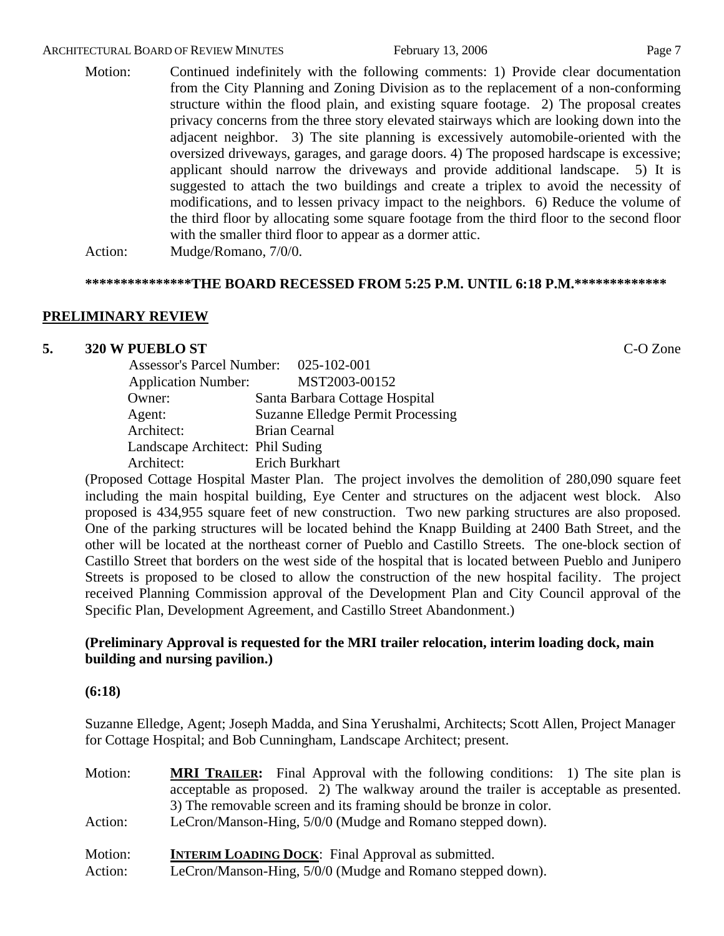#### ARCHITECTURAL BOARD OF REVIEW MINUTES February 13, 2006 February 13, 2006

Motion: Continued indefinitely with the following comments: 1) Provide clear documentation from the City Planning and Zoning Division as to the replacement of a non-conforming structure within the flood plain, and existing square footage. 2) The proposal creates privacy concerns from the three story elevated stairways which are looking down into the adjacent neighbor. 3) The site planning is excessively automobile-oriented with the oversized driveways, garages, and garage doors. 4) The proposed hardscape is excessive; applicant should narrow the driveways and provide additional landscape. 5) It is suggested to attach the two buildings and create a triplex to avoid the necessity of modifications, and to lessen privacy impact to the neighbors. 6) Reduce the volume of the third floor by allocating some square footage from the third floor to the second floor with the smaller third floor to appear as a dormer attic.

Action: Mudge/Romano, 7/0/0.

#### **\*\*\*\*\*\*\*\*\*\*\*\*\*\*\*THE BOARD RECESSED FROM 5:25 P.M. UNTIL 6:18 P.M.\*\*\*\*\*\*\*\*\*\*\*\*\***

#### **PRELIMINARY REVIEW**

#### **5. 320 W PUEBLO ST** C-O Zone

| Assessor's Parcel Number: 025-102-001 |                                          |
|---------------------------------------|------------------------------------------|
| <b>Application Number:</b>            | MST2003-00152                            |
| Owner:                                | Santa Barbara Cottage Hospital           |
| Agent:                                | <b>Suzanne Elledge Permit Processing</b> |
| Architect:                            | <b>Brian Cearnal</b>                     |
| Landscape Architect: Phil Suding      |                                          |
| Architect:                            | Erich Burkhart                           |

(Proposed Cottage Hospital Master Plan. The project involves the demolition of 280,090 square feet including the main hospital building, Eye Center and structures on the adjacent west block. Also proposed is 434,955 square feet of new construction. Two new parking structures are also proposed. One of the parking structures will be located behind the Knapp Building at 2400 Bath Street, and the other will be located at the northeast corner of Pueblo and Castillo Streets. The one-block section of Castillo Street that borders on the west side of the hospital that is located between Pueblo and Junipero Streets is proposed to be closed to allow the construction of the new hospital facility. The project received Planning Commission approval of the Development Plan and City Council approval of the Specific Plan, Development Agreement, and Castillo Street Abandonment.)

## **(Preliminary Approval is requested for the MRI trailer relocation, interim loading dock, main building and nursing pavilion.)**

#### **(6:18)**

Suzanne Elledge, Agent; Joseph Madda, and Sina Yerushalmi, Architects; Scott Allen, Project Manager for Cottage Hospital; and Bob Cunningham, Landscape Architect; present.

| Motion:            | <b>MRI TRAILER:</b> Final Approval with the following conditions: 1) The site plan is<br>acceptable as proposed. 2) The walkway around the trailer is acceptable as presented.<br>3) The removable screen and its framing should be bronze in color. |  |  |  |  |  |  |
|--------------------|------------------------------------------------------------------------------------------------------------------------------------------------------------------------------------------------------------------------------------------------------|--|--|--|--|--|--|
| Action:            | LeCron/Manson-Hing, 5/0/0 (Mudge and Romano stepped down).                                                                                                                                                                                           |  |  |  |  |  |  |
| Motion:<br>Action: | <b>INTERIM LOADING DOCK:</b> Final Approval as submitted.<br>LeCron/Manson-Hing, 5/0/0 (Mudge and Romano stepped down).                                                                                                                              |  |  |  |  |  |  |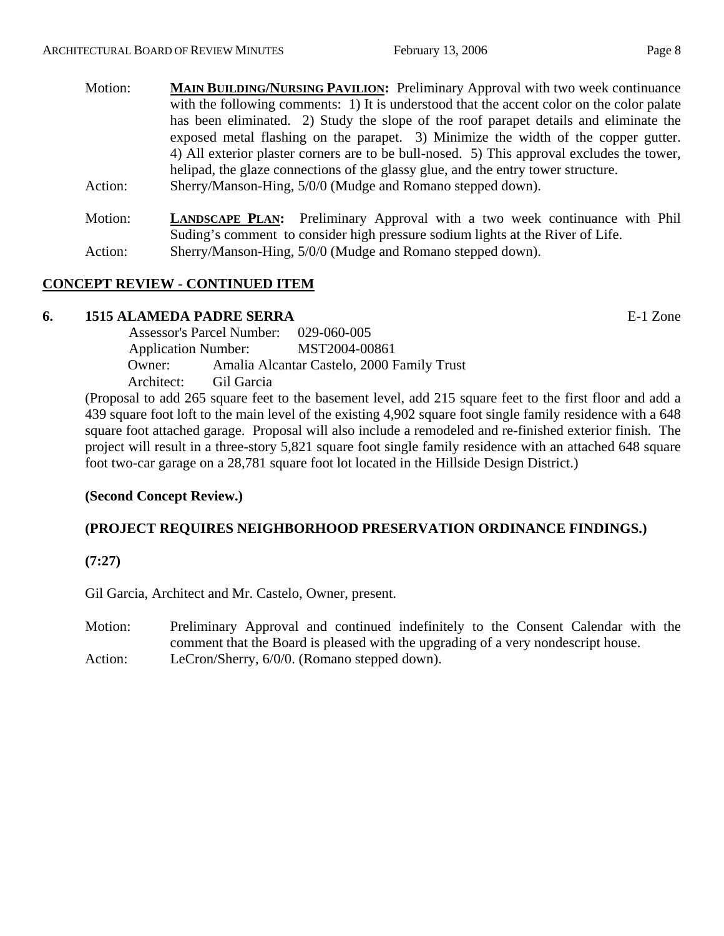| Motion: | <b>MAIN BUILDING/NURSING PAVILION:</b> Preliminary Approval with two week continuance      |
|---------|--------------------------------------------------------------------------------------------|
|         | with the following comments: 1) It is understood that the accent color on the color palate |
|         | has been eliminated. 2) Study the slope of the roof parapet details and eliminate the      |
|         | exposed metal flashing on the parapet. 3) Minimize the width of the copper gutter.         |
|         | 4) All exterior plaster corners are to be bull-nosed. 5) This approval excludes the tower, |
|         | helipad, the glaze connections of the glassy glue, and the entry tower structure.          |
| Action: | Sherry/Manson-Hing, 5/0/0 (Mudge and Romano stepped down).                                 |
|         |                                                                                            |

Motion: **LANDSCAPE PLAN:** Preliminary Approval with a two week continuance with Phil Suding's comment to consider high pressure sodium lights at the River of Life. Action: Sherry/Manson-Hing, 5/0/0 (Mudge and Romano stepped down).

# **CONCEPT REVIEW - CONTINUED ITEM**

## **6. 1515 ALAMEDA PADRE SERRA** E-1 Zone

 Assessor's Parcel Number: 029-060-005 Application Number: MST2004-00861 Owner: Amalia Alcantar Castelo, 2000 Family Trust Architect: Gil Garcia

(Proposal to add 265 square feet to the basement level, add 215 square feet to the first floor and add a 439 square foot loft to the main level of the existing 4,902 square foot single family residence with a 648 square foot attached garage. Proposal will also include a remodeled and re-finished exterior finish. The project will result in a three-story 5,821 square foot single family residence with an attached 648 square foot two-car garage on a 28,781 square foot lot located in the Hillside Design District.)

# **(Second Concept Review.)**

# **(PROJECT REQUIRES NEIGHBORHOOD PRESERVATION ORDINANCE FINDINGS.)**

**(7:27)**

Gil Garcia, Architect and Mr. Castelo, Owner, present.

Motion: Preliminary Approval and continued indefinitely to the Consent Calendar with the comment that the Board is pleased with the upgrading of a very nondescript house. Action: LeCron/Sherry, 6/0/0. (Romano stepped down).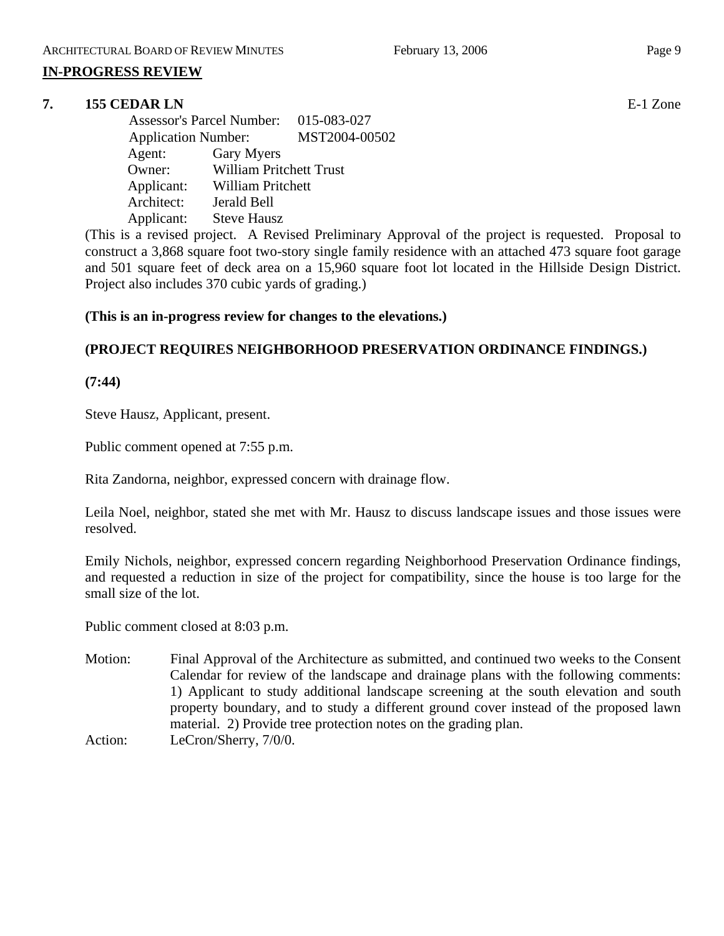## **IN-PROGRESS REVIEW**

## **7. 155 CEDAR LN** E-1 Zone

 Assessor's Parcel Number: 015-083-027 Application Number: MST2004-00502 Agent: Gary Myers Owner: William Pritchett Trust Applicant: William Pritchett Architect: Jerald Bell Applicant: Steve Hausz

(This is a revised project. A Revised Preliminary Approval of the project is requested. Proposal to construct a 3,868 square foot two-story single family residence with an attached 473 square foot garage and 501 square feet of deck area on a 15,960 square foot lot located in the Hillside Design District. Project also includes 370 cubic yards of grading.)

## **(This is an in-progress review for changes to the elevations.)**

# **(PROJECT REQUIRES NEIGHBORHOOD PRESERVATION ORDINANCE FINDINGS.)**

**(7:44)** 

Steve Hausz, Applicant, present.

Public comment opened at 7:55 p.m.

Rita Zandorna, neighbor, expressed concern with drainage flow.

Leila Noel, neighbor, stated she met with Mr. Hausz to discuss landscape issues and those issues were resolved.

Emily Nichols, neighbor, expressed concern regarding Neighborhood Preservation Ordinance findings, and requested a reduction in size of the project for compatibility, since the house is too large for the small size of the lot.

Public comment closed at 8:03 p.m.

Motion: Final Approval of the Architecture as submitted, and continued two weeks to the Consent Calendar for review of the landscape and drainage plans with the following comments: 1) Applicant to study additional landscape screening at the south elevation and south property boundary, and to study a different ground cover instead of the proposed lawn material. 2) Provide tree protection notes on the grading plan. Action: LeCron/Sherry, 7/0/0.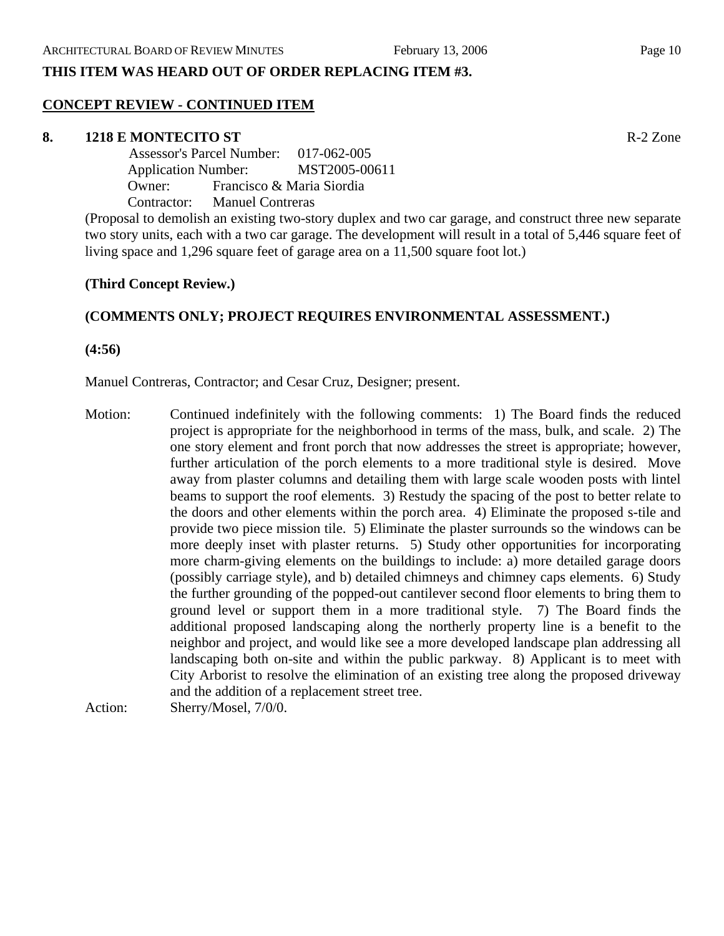## **THIS ITEM WAS HEARD OUT OF ORDER REPLACING ITEM #3.**

#### **CONCEPT REVIEW - CONTINUED ITEM**

#### **8. 1218 E MONTECITO ST** R-2 Zone

 Assessor's Parcel Number: 017-062-005 Application Number: MST2005-00611 Owner: Francisco & Maria Siordia Contractor: Manuel Contreras

(Proposal to demolish an existing two-story duplex and two car garage, and construct three new separate two story units, each with a two car garage. The development will result in a total of 5,446 square feet of living space and 1,296 square feet of garage area on a 11,500 square foot lot.)

#### **(Third Concept Review.)**

## **(COMMENTS ONLY; PROJECT REQUIRES ENVIRONMENTAL ASSESSMENT.)**

**(4:56)** 

Manuel Contreras, Contractor; and Cesar Cruz, Designer; present.

Motion: Continued indefinitely with the following comments: 1) The Board finds the reduced project is appropriate for the neighborhood in terms of the mass, bulk, and scale. 2) The one story element and front porch that now addresses the street is appropriate; however, further articulation of the porch elements to a more traditional style is desired. Move away from plaster columns and detailing them with large scale wooden posts with lintel beams to support the roof elements. 3) Restudy the spacing of the post to better relate to the doors and other elements within the porch area. 4) Eliminate the proposed s-tile and provide two piece mission tile. 5) Eliminate the plaster surrounds so the windows can be more deeply inset with plaster returns. 5) Study other opportunities for incorporating more charm-giving elements on the buildings to include: a) more detailed garage doors (possibly carriage style), and b) detailed chimneys and chimney caps elements. 6) Study the further grounding of the popped-out cantilever second floor elements to bring them to ground level or support them in a more traditional style. 7) The Board finds the additional proposed landscaping along the northerly property line is a benefit to the neighbor and project, and would like see a more developed landscape plan addressing all landscaping both on-site and within the public parkway. 8) Applicant is to meet with City Arborist to resolve the elimination of an existing tree along the proposed driveway and the addition of a replacement street tree.

Action: Sherry/Mosel, 7/0/0.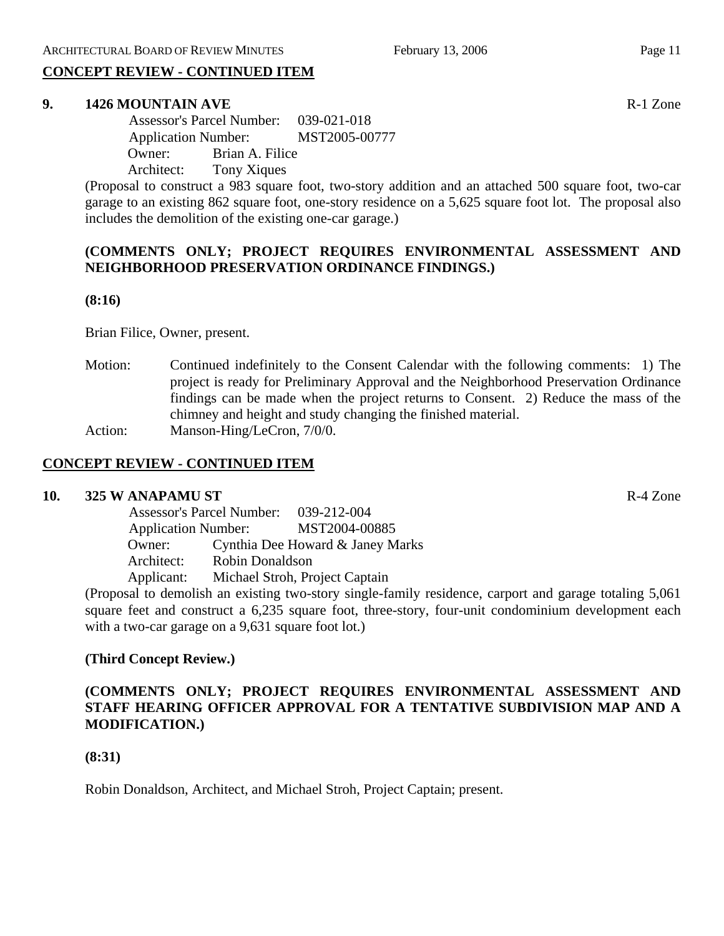# **CONCEPT REVIEW - CONTINUED ITEM**

#### **9. 1426 MOUNTAIN AVE**  R-1 Zone

 Assessor's Parcel Number: 039-021-018 Application Number: MST2005-00777 Owner: Brian A. Filice Architect: Tony Xiques

(Proposal to construct a 983 square foot, two-story addition and an attached 500 square foot, two-car garage to an existing 862 square foot, one-story residence on a 5,625 square foot lot. The proposal also includes the demolition of the existing one-car garage.)

## **(COMMENTS ONLY; PROJECT REQUIRES ENVIRONMENTAL ASSESSMENT AND NEIGHBORHOOD PRESERVATION ORDINANCE FINDINGS.)**

#### **(8:16)**

Brian Filice, Owner, present.

Motion: Continued indefinitely to the Consent Calendar with the following comments: 1) The project is ready for Preliminary Approval and the Neighborhood Preservation Ordinance findings can be made when the project returns to Consent. 2) Reduce the mass of the chimney and height and study changing the finished material. Action: Manson-Hing/LeCron, 7/0/0.

## **CONCEPT REVIEW - CONTINUED ITEM**

#### **10. 325 W ANAPAMU ST** R-4 Zone

 Assessor's Parcel Number: 039-212-004 Application Number: MST2004-00885 Owner: Cynthia Dee Howard & Janey Marks Architect: Robin Donaldson Applicant: Michael Stroh, Project Captain

(Proposal to demolish an existing two-story single-family residence, carport and garage totaling 5,061 square feet and construct a 6,235 square foot, three-story, four-unit condominium development each with a two-car garage on a 9,631 square foot lot.)

## **(Third Concept Review.)**

## **(COMMENTS ONLY; PROJECT REQUIRES ENVIRONMENTAL ASSESSMENT AND STAFF HEARING OFFICER APPROVAL FOR A TENTATIVE SUBDIVISION MAP AND A MODIFICATION.)**

## **(8:31)**

Robin Donaldson, Architect, and Michael Stroh, Project Captain; present.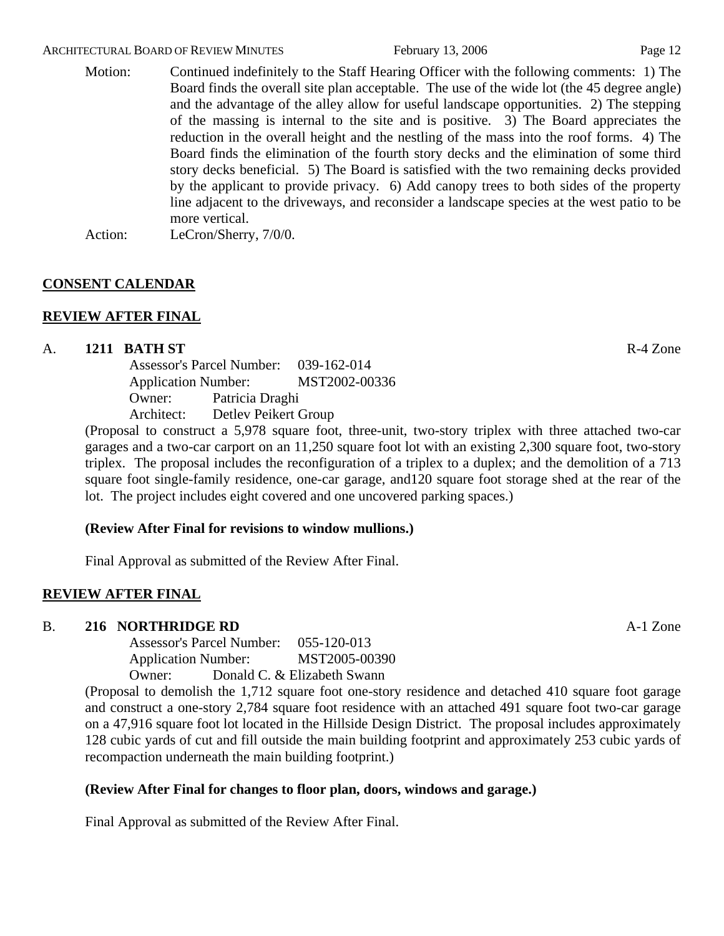#### ARCHITECTURAL BOARD OF REVIEW MINUTES February 13, 2006 Page 12

Motion: Continued indefinitely to the Staff Hearing Officer with the following comments: 1) The Board finds the overall site plan acceptable. The use of the wide lot (the 45 degree angle) and the advantage of the alley allow for useful landscape opportunities. 2) The stepping of the massing is internal to the site and is positive. 3) The Board appreciates the reduction in the overall height and the nestling of the mass into the roof forms. 4) The Board finds the elimination of the fourth story decks and the elimination of some third story decks beneficial. 5) The Board is satisfied with the two remaining decks provided by the applicant to provide privacy. 6) Add canopy trees to both sides of the property line adjacent to the driveways, and reconsider a landscape species at the west patio to be more vertical. Action: LeCron/Sherry,  $7/0/0$ .

## **CONSENT CALENDAR**

# **REVIEW AFTER FINAL**

## A. **1211 BATH ST** R-4 Zone

Assessor's Parcel Number: 039-162-014 Application Number: MST2002-00336 Owner: Patricia Draghi Architect: Detlev Peikert Group

(Proposal to construct a 5,978 square foot, three-unit, two-story triplex with three attached two-car garages and a two-car carport on an 11,250 square foot lot with an existing 2,300 square foot, two-story triplex. The proposal includes the reconfiguration of a triplex to a duplex; and the demolition of a 713 square foot single-family residence, one-car garage, and120 square foot storage shed at the rear of the lot. The project includes eight covered and one uncovered parking spaces.)

## **(Review After Final for revisions to window mullions.)**

Final Approval as submitted of the Review After Final.

## **REVIEW AFTER FINAL**

#### B. **216 NORTHRIDGE RD** A-1 Zone

Assessor's Parcel Number: 055-120-013 Application Number: MST2005-00390 Owner: Donald C. & Elizabeth Swann

(Proposal to demolish the 1,712 square foot one-story residence and detached 410 square foot garage and construct a one-story 2,784 square foot residence with an attached 491 square foot two-car garage on a 47,916 square foot lot located in the Hillside Design District. The proposal includes approximately 128 cubic yards of cut and fill outside the main building footprint and approximately 253 cubic yards of recompaction underneath the main building footprint.)

## **(Review After Final for changes to floor plan, doors, windows and garage.)**

Final Approval as submitted of the Review After Final.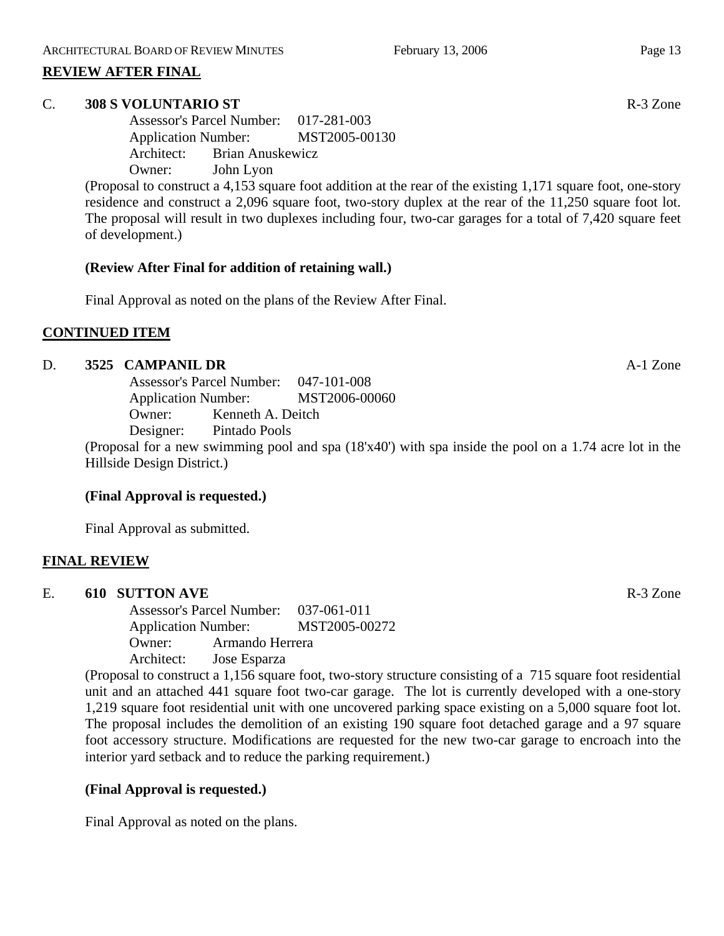## **REVIEW AFTER FINAL**

## C. **308 S VOLUNTARIO ST** R-3 Zone

Assessor's Parcel Number: 017-281-003 Application Number: MST2005-00130 Architect: Brian Anuskewicz Owner: John Lyon

(Proposal to construct a 4,153 square foot addition at the rear of the existing 1,171 square foot, one-story residence and construct a 2,096 square foot, two-story duplex at the rear of the 11,250 square foot lot. The proposal will result in two duplexes including four, two-car garages for a total of 7,420 square feet of development.)

## **(Review After Final for addition of retaining wall.)**

Final Approval as noted on the plans of the Review After Final.

## **CONTINUED ITEM**

## D. **3525 CAMPANIL DR** A-1 Zone

Assessor's Parcel Number: 047-101-008 Application Number: MST2006-00060 Owner: Kenneth A. Deitch Designer: Pintado Pools

(Proposal for a new swimming pool and spa (18'x40') with spa inside the pool on a 1.74 acre lot in the Hillside Design District.)

# **(Final Approval is requested.)**

Final Approval as submitted.

# **FINAL REVIEW**

E. **610 SUTTON AVE** R-3 Zone Assessor's Parcel Number: 037-061-011 Application Number: MST2005-00272 Owner: Armando Herrera Architect: Jose Esparza

(Proposal to construct a 1,156 square foot, two-story structure consisting of a 715 square foot residential unit and an attached 441 square foot two-car garage. The lot is currently developed with a one-story 1,219 square foot residential unit with one uncovered parking space existing on a 5,000 square foot lot. The proposal includes the demolition of an existing 190 square foot detached garage and a 97 square foot accessory structure. Modifications are requested for the new two-car garage to encroach into the interior yard setback and to reduce the parking requirement.)

# **(Final Approval is requested.)**

Final Approval as noted on the plans.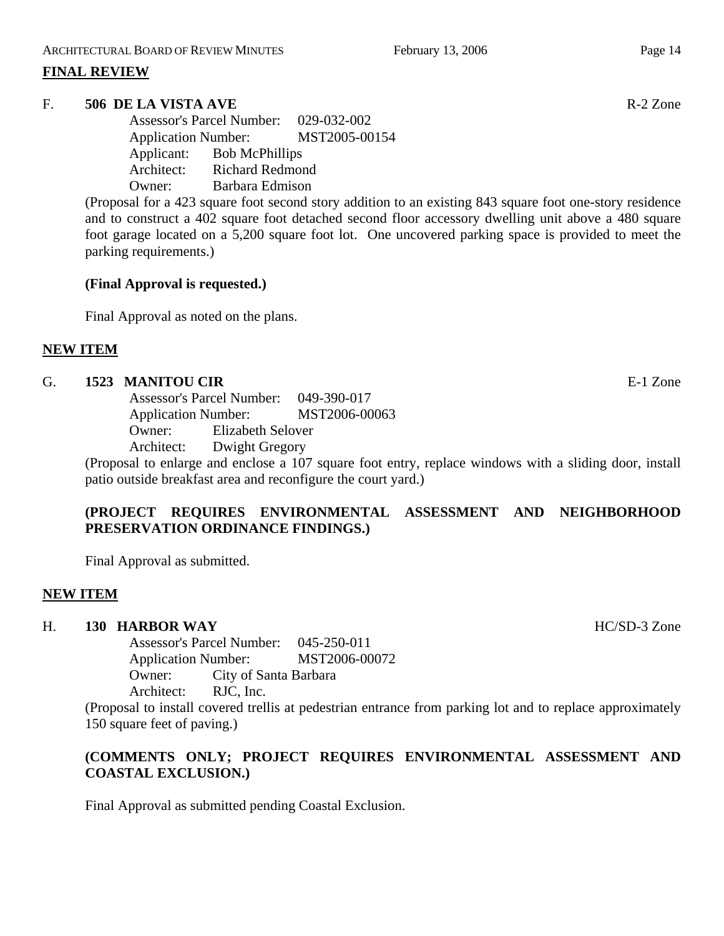## **FINAL REVIEW**

## F. **506 DE LA VISTA AVE** R-2 Zone

Assessor's Parcel Number: 029-032-002 Application Number: MST2005-00154 Applicant: Bob McPhillips Architect: Richard Redmond Owner: Barbara Edmison

(Proposal for a 423 square foot second story addition to an existing 843 square foot one-story residence and to construct a 402 square foot detached second floor accessory dwelling unit above a 480 square foot garage located on a 5,200 square foot lot. One uncovered parking space is provided to meet the parking requirements.)

## **(Final Approval is requested.)**

Final Approval as noted on the plans.

## **NEW ITEM**

#### G. **1523 MANITOU CIR** E-1 Zone

Assessor's Parcel Number: 049-390-017 Application Number: MST2006-00063 Owner: Elizabeth Selover Architect: Dwight Gregory

(Proposal to enlarge and enclose a 107 square foot entry, replace windows with a sliding door, install patio outside breakfast area and reconfigure the court yard.)

# **(PROJECT REQUIRES ENVIRONMENTAL ASSESSMENT AND NEIGHBORHOOD PRESERVATION ORDINANCE FINDINGS.)**

Final Approval as submitted.

# **NEW ITEM**

# H. **130 HARBOR WAY** HC/SD-3 Zone

Assessor's Parcel Number: 045-250-011 Application Number: MST2006-00072 Owner: City of Santa Barbara Architect: RJC, Inc.

(Proposal to install covered trellis at pedestrian entrance from parking lot and to replace approximately 150 square feet of paving.)

# **(COMMENTS ONLY; PROJECT REQUIRES ENVIRONMENTAL ASSESSMENT AND COASTAL EXCLUSION.)**

Final Approval as submitted pending Coastal Exclusion.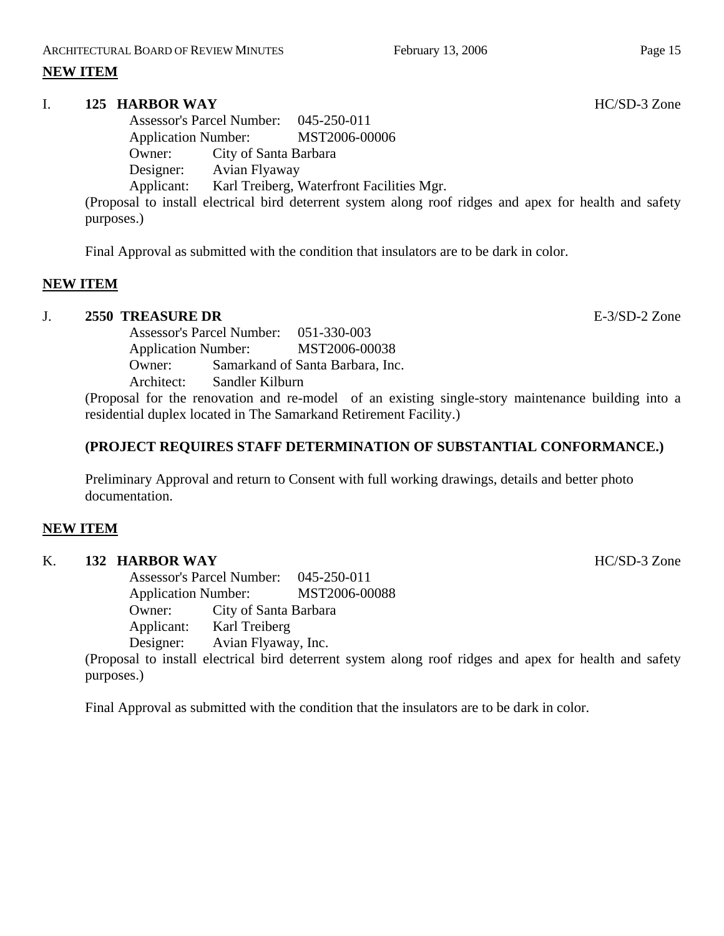# **NEW ITEM**

## I. **125 HARBOR WAY HC/SD-3** Zone

Assessor's Parcel Number: 045-250-011 Application Number: MST2006-00006 Owner: City of Santa Barbara Designer: Avian Flyaway Applicant: Karl Treiberg, Waterfront Facilities Mgr.

(Proposal to install electrical bird deterrent system along roof ridges and apex for health and safety purposes.)

Final Approval as submitted with the condition that insulators are to be dark in color.

## **NEW ITEM**

## J. **2550 TREASURE DR** E-3/SD-2 Zone

Assessor's Parcel Number: 051-330-003 Application Number: MST2006-00038 Owner: Samarkand of Santa Barbara, Inc. Architect: Sandler Kilburn

(Proposal for the renovation and re-model of an existing single-story maintenance building into a residential duplex located in The Samarkand Retirement Facility.)

## **(PROJECT REQUIRES STAFF DETERMINATION OF SUBSTANTIAL CONFORMANCE.)**

Preliminary Approval and return to Consent with full working drawings, details and better photo documentation.

## **NEW ITEM**

#### K. **132 HARBOR WAY** HC/SD-3 Zone

Assessor's Parcel Number: 045-250-011 Application Number: MST2006-00088 Owner: City of Santa Barbara Applicant: Karl Treiberg Designer: Avian Flyaway, Inc.

(Proposal to install electrical bird deterrent system along roof ridges and apex for health and safety purposes.)

Final Approval as submitted with the condition that the insulators are to be dark in color.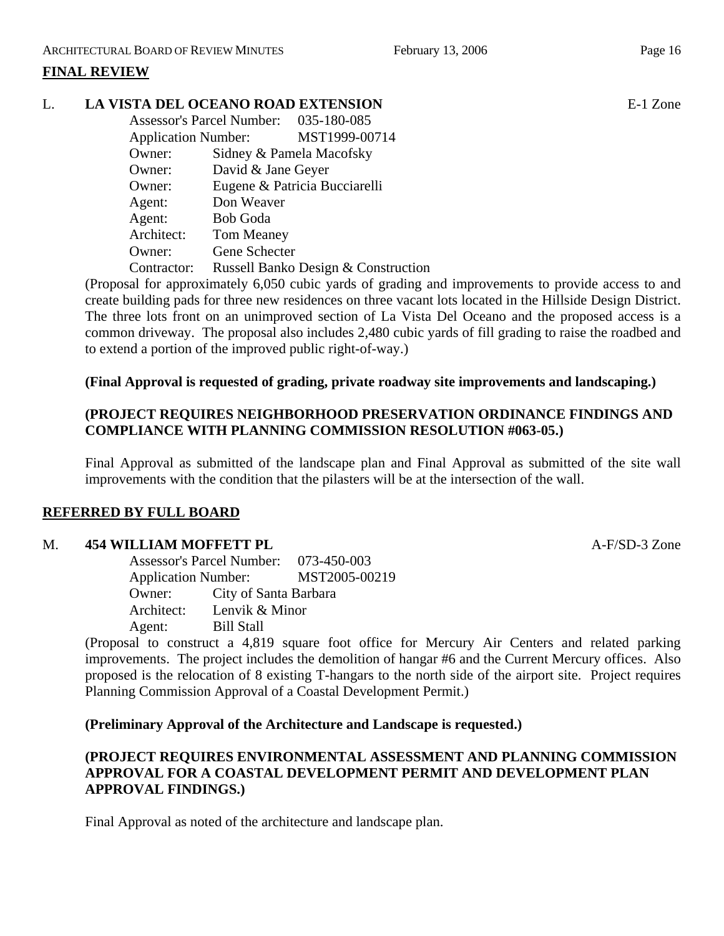# **FINAL REVIEW**

## L. **LA VISTA DEL OCEANO ROAD EXTENSION** E-1 Zone

|                            | Assessor's Parcel Number: 035-180-085 |                                     |
|----------------------------|---------------------------------------|-------------------------------------|
| <b>Application Number:</b> |                                       | MST1999-00714                       |
| Owner:                     | Sidney & Pamela Macofsky              |                                     |
| Owner:                     | David & Jane Geyer                    |                                     |
| Owner:                     |                                       | Eugene & Patricia Bucciarelli       |
| Agent:                     | Don Weaver                            |                                     |
| Agent:                     | <b>Bob Goda</b>                       |                                     |
| Architect:                 | <b>Tom Meaney</b>                     |                                     |
| Owner:                     | Gene Schecter                         |                                     |
| Contractor:                |                                       | Russell Banko Design & Construction |

(Proposal for approximately 6,050 cubic yards of grading and improvements to provide access to and create building pads for three new residences on three vacant lots located in the Hillside Design District. The three lots front on an unimproved section of La Vista Del Oceano and the proposed access is a common driveway. The proposal also includes 2,480 cubic yards of fill grading to raise the roadbed and to extend a portion of the improved public right-of-way.)

## **(Final Approval is requested of grading, private roadway site improvements and landscaping.)**

## **(PROJECT REQUIRES NEIGHBORHOOD PRESERVATION ORDINANCE FINDINGS AND COMPLIANCE WITH PLANNING COMMISSION RESOLUTION #063-05.)**

Final Approval as submitted of the landscape plan and Final Approval as submitted of the site wall improvements with the condition that the pilasters will be at the intersection of the wall.

## **REFERRED BY FULL BOARD**

## M. **454 WILLIAM MOFFETT PL A-F/SD-3 Zone**

Assessor's Parcel Number: 073-450-003 Application Number: MST2005-00219 Owner: City of Santa Barbara Architect: Lenvik & Minor Agent: Bill Stall

(Proposal to construct a 4,819 square foot office for Mercury Air Centers and related parking improvements. The project includes the demolition of hangar #6 and the Current Mercury offices. Also proposed is the relocation of 8 existing T-hangars to the north side of the airport site. Project requires Planning Commission Approval of a Coastal Development Permit.)

## **(Preliminary Approval of the Architecture and Landscape is requested.)**

# **(PROJECT REQUIRES ENVIRONMENTAL ASSESSMENT AND PLANNING COMMISSION APPROVAL FOR A COASTAL DEVELOPMENT PERMIT AND DEVELOPMENT PLAN APPROVAL FINDINGS.)**

Final Approval as noted of the architecture and landscape plan.